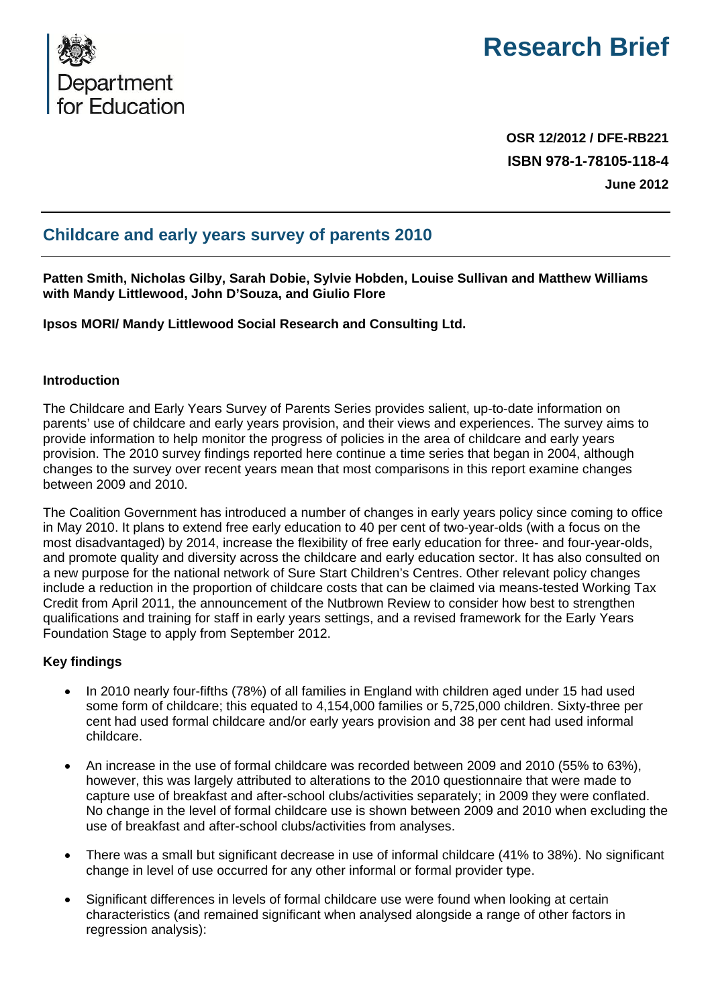

# **Research Brief**

**OSR 12/2012 / DFE-RB221 ISBN 978-1-78105-118-4 June 2012**

# **Childcare and early years survey of parents 2010**

**Patten Smith, Nicholas Gilby, Sarah Dobie, Sylvie Hobden, Louise Sullivan and Matthew Williams with Mandy Littlewood, John D'Souza, and Giulio Flore** 

**Ipsos MORI/ Mandy Littlewood Social Research and Consulting Ltd.** 

#### **Introduction**

The Childcare and Early Years Survey of Parents Series provides salient, up-to-date information on parents' use of childcare and early years provision, and their views and experiences. The survey aims to provide information to help monitor the progress of policies in the area of childcare and early years provision. The 2010 survey findings reported here continue a time series that began in 2004, although changes to the survey over recent years mean that most comparisons in this report examine changes between 2009 and 2010.

The Coalition Government has introduced a number of changes in early years policy since coming to office in May 2010. It plans to extend free early education to 40 per cent of two-year-olds (with a focus on the most disadvantaged) by 2014, increase the flexibility of free early education for three- and four-year-olds, and promote quality and diversity across the childcare and early education sector. It has also consulted on a new purpose for the national network of Sure Start Children's Centres. Other relevant policy changes include a reduction in the proportion of childcare costs that can be claimed via means-tested Working Tax Credit from April 2011, the announcement of the Nutbrown Review to consider how best to strengthen qualifications and training for staff in early years settings, and a revised framework for the Early Years Foundation Stage to apply from September 2012.

#### **Key findings**

- In 2010 nearly four-fifths (78%) of all families in England with children aged under 15 had used some form of childcare; this equated to 4,154,000 families or 5,725,000 children. Sixty-three per cent had used formal childcare and/or early years provision and 38 per cent had used informal childcare.
- An increase in the use of formal childcare was recorded between 2009 and 2010 (55% to 63%), however, this was largely attributed to alterations to the 2010 questionnaire that were made to capture use of breakfast and after-school clubs/activities separately; in 2009 they were conflated. No change in the level of formal childcare use is shown between 2009 and 2010 when excluding the use of breakfast and after-school clubs/activities from analyses.
- There was a small but significant decrease in use of informal childcare (41% to 38%). No significant change in level of use occurred for any other informal or formal provider type.
- Significant differences in levels of formal childcare use were found when looking at certain characteristics (and remained significant when analysed alongside a range of other factors in regression analysis):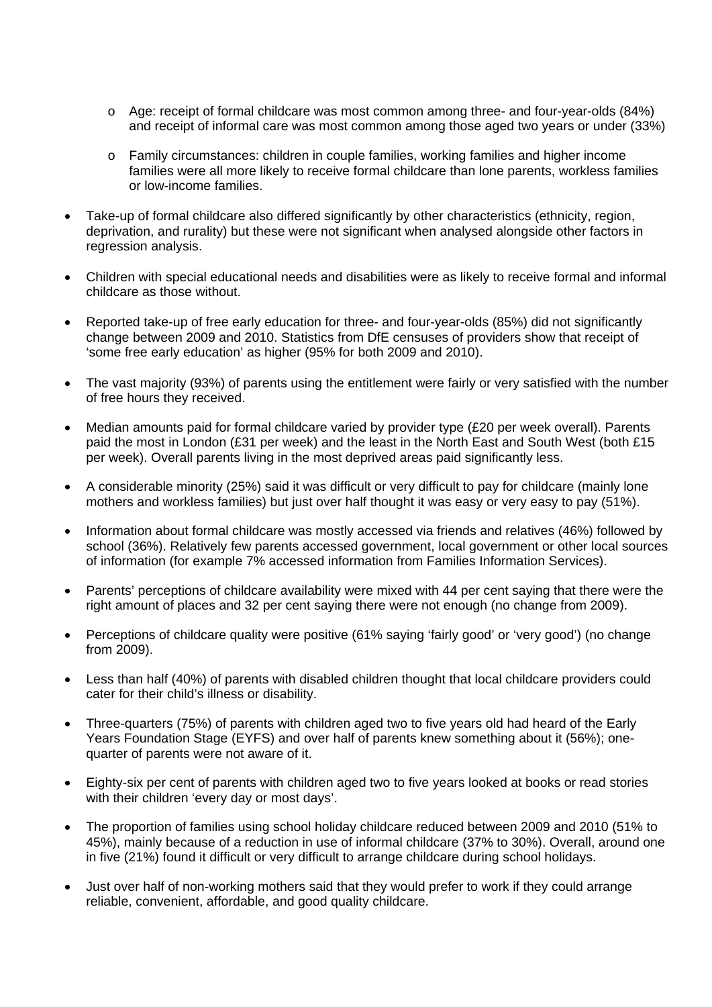- o Age: receipt of formal childcare was most common among three- and four-year-olds (84%) and receipt of informal care was most common among those aged two years or under (33%)
- o Family circumstances: children in couple families, working families and higher income families were all more likely to receive formal childcare than lone parents, workless families or low-income families.
- Take-up of formal childcare also differed significantly by other characteristics (ethnicity, region, deprivation, and rurality) but these were not significant when analysed alongside other factors in regression analysis.
- Children with special educational needs and disabilities were as likely to receive formal and informal childcare as those without.
- Reported take-up of free early education for three- and four-year-olds (85%) did not significantly change between 2009 and 2010. Statistics from DfE censuses of providers show that receipt of 'some free early education' as higher (95% for both 2009 and 2010).
- The vast majority (93%) of parents using the entitlement were fairly or very satisfied with the number of free hours they received.
- Median amounts paid for formal childcare varied by provider type (£20 per week overall). Parents paid the most in London (£31 per week) and the least in the North East and South West (both £15 per week). Overall parents living in the most deprived areas paid significantly less.
- A considerable minority (25%) said it was difficult or very difficult to pay for childcare (mainly lone mothers and workless families) but just over half thought it was easy or very easy to pay (51%).
- Information about formal childcare was mostly accessed via friends and relatives (46%) followed by school (36%). Relatively few parents accessed government, local government or other local sources of information (for example 7% accessed information from Families Information Services).
- Parents' perceptions of childcare availability were mixed with 44 per cent saying that there were the right amount of places and 32 per cent saying there were not enough (no change from 2009).
- Perceptions of childcare quality were positive (61% saying 'fairly good' or 'very good') (no change from 2009).
- Less than half (40%) of parents with disabled children thought that local childcare providers could cater for their child's illness or disability.
- Three-quarters (75%) of parents with children aged two to five years old had heard of the Early Years Foundation Stage (EYFS) and over half of parents knew something about it (56%); onequarter of parents were not aware of it.
- Eighty-six per cent of parents with children aged two to five years looked at books or read stories with their children 'every day or most days'.
- The proportion of families using school holiday childcare reduced between 2009 and 2010 (51% to 45%), mainly because of a reduction in use of informal childcare (37% to 30%). Overall, around one in five (21%) found it difficult or very difficult to arrange childcare during school holidays.
- Just over half of non-working mothers said that they would prefer to work if they could arrange reliable, convenient, affordable, and good quality childcare.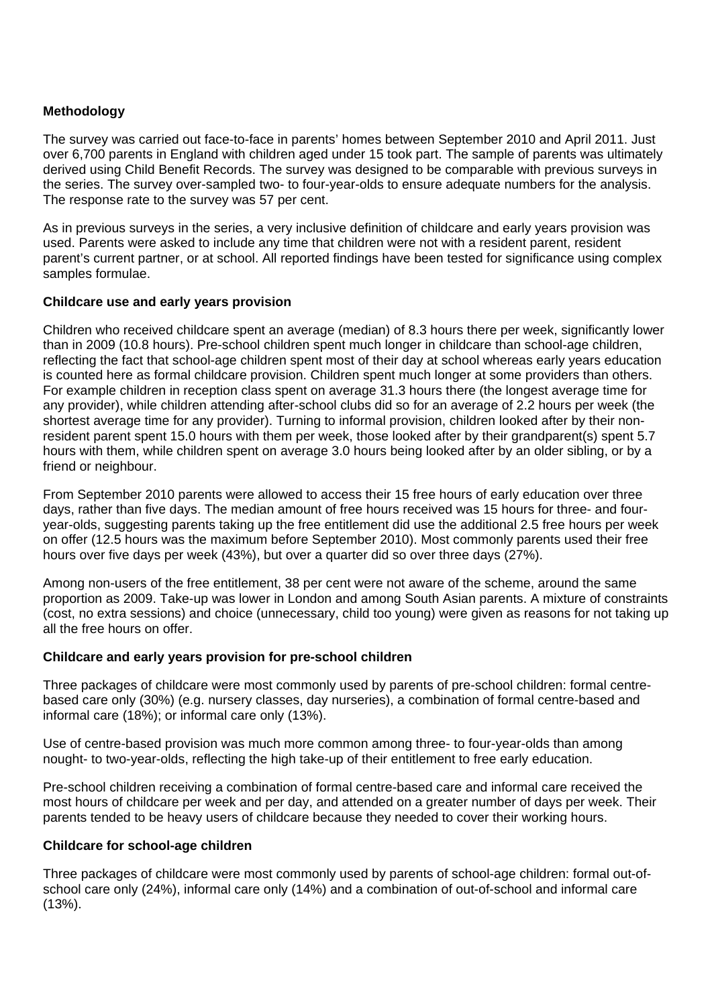# **Methodology**

The survey was carried out face-to-face in parents' homes between September 2010 and April 2011. Just over 6,700 parents in England with children aged under 15 took part. The sample of parents was ultimately derived using Child Benefit Records. The survey was designed to be comparable with previous surveys in the series. The survey over-sampled two- to four-year-olds to ensure adequate numbers for the analysis. The response rate to the survey was 57 per cent.

As in previous surveys in the series, a very inclusive definition of childcare and early years provision was used. Parents were asked to include any time that children were not with a resident parent, resident parent's current partner, or at school. All reported findings have been tested for significance using complex samples formulae.

# **Childcare use and early years provision**

Children who received childcare spent an average (median) of 8.3 hours there per week, significantly lower than in 2009 (10.8 hours). Pre-school children spent much longer in childcare than school-age children, reflecting the fact that school-age children spent most of their day at school whereas early years education is counted here as formal childcare provision. Children spent much longer at some providers than others. For example children in reception class spent on average 31.3 hours there (the longest average time for any provider), while children attending after-school clubs did so for an average of 2.2 hours per week (the shortest average time for any provider). Turning to informal provision, children looked after by their nonresident parent spent 15.0 hours with them per week, those looked after by their grandparent(s) spent 5.7 hours with them, while children spent on average 3.0 hours being looked after by an older sibling, or by a friend or neighbour.

From September 2010 parents were allowed to access their 15 free hours of early education over three days, rather than five days. The median amount of free hours received was 15 hours for three- and fouryear-olds, suggesting parents taking up the free entitlement did use the additional 2.5 free hours per week on offer (12.5 hours was the maximum before September 2010). Most commonly parents used their free hours over five days per week (43%), but over a quarter did so over three days (27%).

Among non-users of the free entitlement, 38 per cent were not aware of the scheme, around the same proportion as 2009. Take-up was lower in London and among South Asian parents. A mixture of constraints (cost, no extra sessions) and choice (unnecessary, child too young) were given as reasons for not taking up all the free hours on offer.

# **Childcare and early years provision for pre-school children**

Three packages of childcare were most commonly used by parents of pre-school children: formal centrebased care only (30%) (e.g. nursery classes, day nurseries), a combination of formal centre-based and informal care (18%); or informal care only (13%).

Use of centre-based provision was much more common among three- to four-year-olds than among nought- to two-year-olds, reflecting the high take-up of their entitlement to free early education.

Pre-school children receiving a combination of formal centre-based care and informal care received the most hours of childcare per week and per day, and attended on a greater number of days per week. Their parents tended to be heavy users of childcare because they needed to cover their working hours.

#### **Childcare for school-age children**

Three packages of childcare were most commonly used by parents of school-age children: formal out-ofschool care only (24%), informal care only (14%) and a combination of out-of-school and informal care (13%).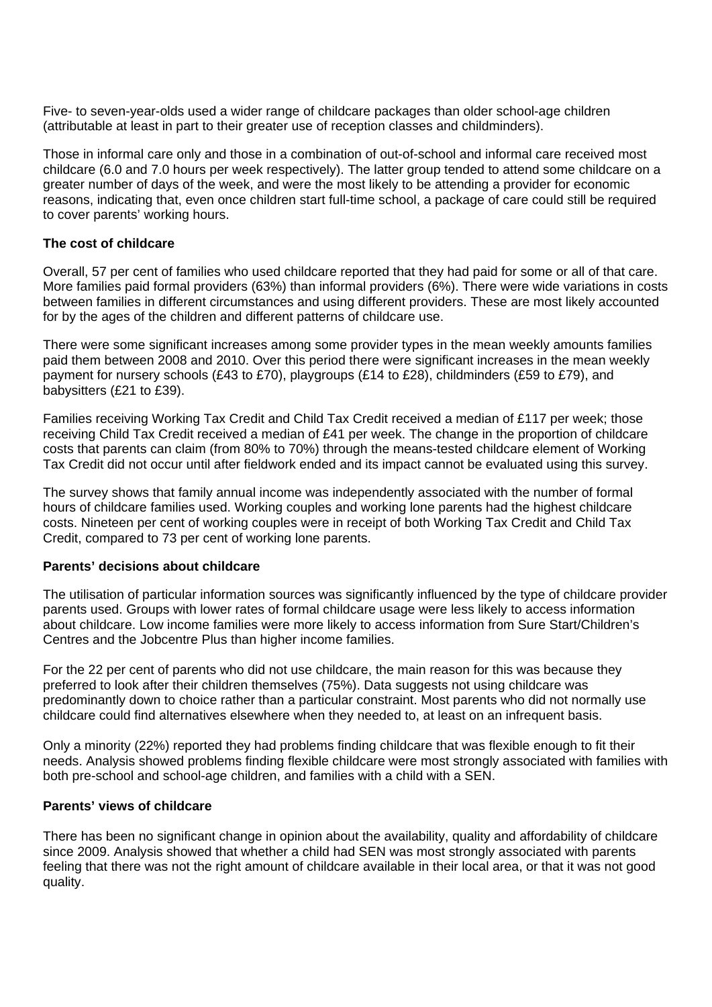Five- to seven-year-olds used a wider range of childcare packages than older school-age children (attributable at least in part to their greater use of reception classes and childminders).

Those in informal care only and those in a combination of out-of-school and informal care received most childcare (6.0 and 7.0 hours per week respectively). The latter group tended to attend some childcare on a greater number of days of the week, and were the most likely to be attending a provider for economic reasons, indicating that, even once children start full-time school, a package of care could still be required to cover parents' working hours.

### **The cost of childcare**

Overall, 57 per cent of families who used childcare reported that they had paid for some or all of that care. More families paid formal providers (63%) than informal providers (6%). There were wide variations in costs between families in different circumstances and using different providers. These are most likely accounted for by the ages of the children and different patterns of childcare use.

There were some significant increases among some provider types in the mean weekly amounts families paid them between 2008 and 2010. Over this period there were significant increases in the mean weekly payment for nursery schools (£43 to £70), playgroups (£14 to £28), childminders (£59 to £79), and babysitters (£21 to £39).

Families receiving Working Tax Credit and Child Tax Credit received a median of £117 per week; those receiving Child Tax Credit received a median of £41 per week. The change in the proportion of childcare costs that parents can claim (from 80% to 70%) through the means-tested childcare element of Working Tax Credit did not occur until after fieldwork ended and its impact cannot be evaluated using this survey.

The survey shows that family annual income was independently associated with the number of formal hours of childcare families used. Working couples and working lone parents had the highest childcare costs. Nineteen per cent of working couples were in receipt of both Working Tax Credit and Child Tax Credit, compared to 73 per cent of working lone parents.

#### **Parents' decisions about childcare**

The utilisation of particular information sources was significantly influenced by the type of childcare provider parents used. Groups with lower rates of formal childcare usage were less likely to access information about childcare. Low income families were more likely to access information from Sure Start/Children's Centres and the Jobcentre Plus than higher income families.

For the 22 per cent of parents who did not use childcare, the main reason for this was because they preferred to look after their children themselves (75%). Data suggests not using childcare was predominantly down to choice rather than a particular constraint. Most parents who did not normally use childcare could find alternatives elsewhere when they needed to, at least on an infrequent basis.

Only a minority (22%) reported they had problems finding childcare that was flexible enough to fit their needs. Analysis showed problems finding flexible childcare were most strongly associated with families with both pre-school and school-age children, and families with a child with a SEN.

#### **Parents' views of childcare**

There has been no significant change in opinion about the availability, quality and affordability of childcare since 2009. Analysis showed that whether a child had SEN was most strongly associated with parents feeling that there was not the right amount of childcare available in their local area, or that it was not good quality.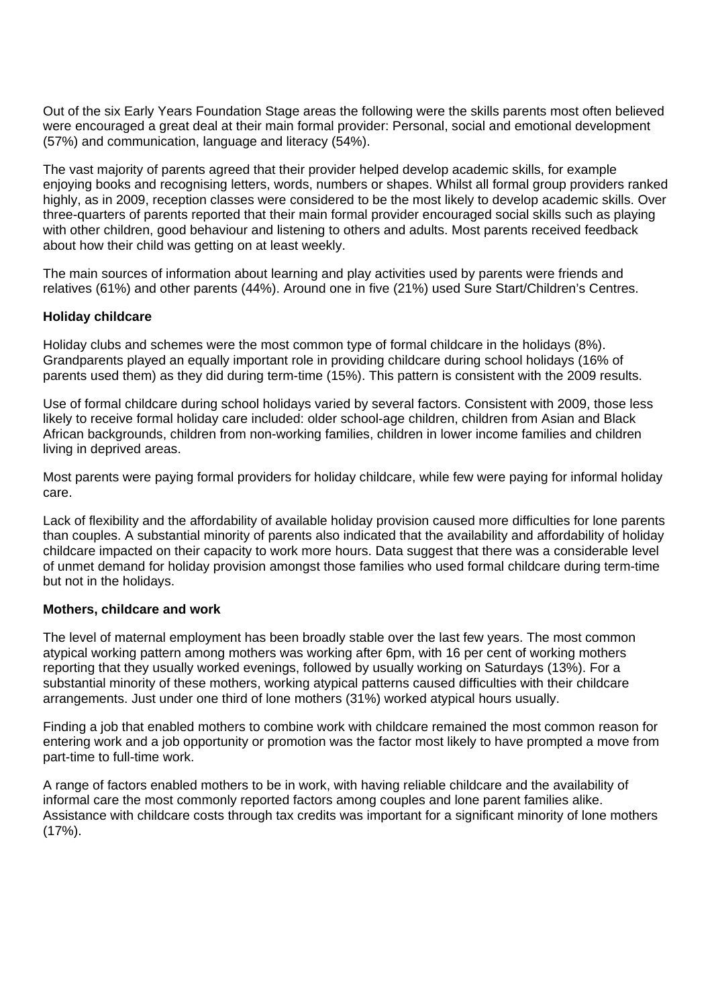Out of the six Early Years Foundation Stage areas the following were the skills parents most often believed were encouraged a great deal at their main formal provider: Personal, social and emotional development (57%) and communication, language and literacy (54%).

The vast majority of parents agreed that their provider helped develop academic skills, for example enjoying books and recognising letters, words, numbers or shapes. Whilst all formal group providers ranked highly, as in 2009, reception classes were considered to be the most likely to develop academic skills. Over three-quarters of parents reported that their main formal provider encouraged social skills such as playing with other children, good behaviour and listening to others and adults. Most parents received feedback about how their child was getting on at least weekly.

The main sources of information about learning and play activities used by parents were friends and relatives (61%) and other parents (44%). Around one in five (21%) used Sure Start/Children's Centres.

# **Holiday childcare**

Holiday clubs and schemes were the most common type of formal childcare in the holidays (8%). Grandparents played an equally important role in providing childcare during school holidays (16% of parents used them) as they did during term-time (15%). This pattern is consistent with the 2009 results.

Use of formal childcare during school holidays varied by several factors. Consistent with 2009, those less likely to receive formal holiday care included: older school-age children, children from Asian and Black African backgrounds, children from non-working families, children in lower income families and children living in deprived areas.

Most parents were paying formal providers for holiday childcare, while few were paying for informal holiday care.

Lack of flexibility and the affordability of available holiday provision caused more difficulties for lone parents than couples. A substantial minority of parents also indicated that the availability and affordability of holiday childcare impacted on their capacity to work more hours. Data suggest that there was a considerable level of unmet demand for holiday provision amongst those families who used formal childcare during term-time but not in the holidays.

#### **Mothers, childcare and work**

The level of maternal employment has been broadly stable over the last few years. The most common atypical working pattern among mothers was working after 6pm, with 16 per cent of working mothers reporting that they usually worked evenings, followed by usually working on Saturdays (13%). For a substantial minority of these mothers, working atypical patterns caused difficulties with their childcare arrangements. Just under one third of lone mothers (31%) worked atypical hours usually.

Finding a job that enabled mothers to combine work with childcare remained the most common reason for entering work and a job opportunity or promotion was the factor most likely to have prompted a move from part-time to full-time work.

A range of factors enabled mothers to be in work, with having reliable childcare and the availability of informal care the most commonly reported factors among couples and lone parent families alike. Assistance with childcare costs through tax credits was important for a significant minority of lone mothers (17%).